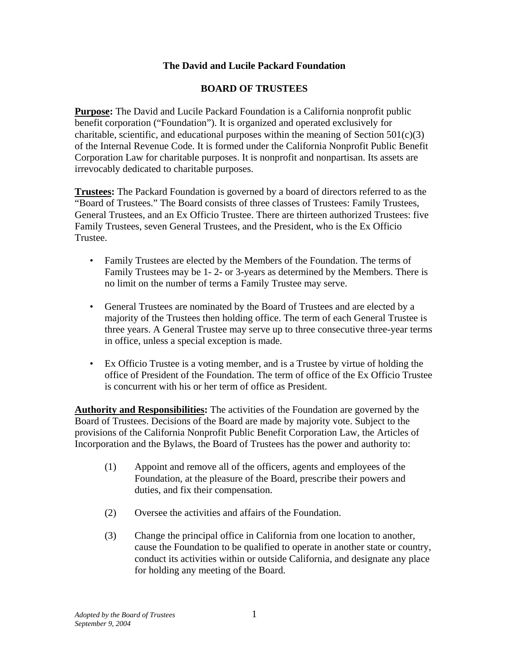## **The David and Lucile Packard Foundation**

## **BOARD OF TRUSTEES**

**Purpose:** The David and Lucile Packard Foundation is a California nonprofit public benefit corporation ("Foundation"). It is organized and operated exclusively for charitable, scientific, and educational purposes within the meaning of Section  $501(c)(3)$ of the Internal Revenue Code. It is formed under the California Nonprofit Public Benefit Corporation Law for charitable purposes. It is nonprofit and nonpartisan. Its assets are irrevocably dedicated to charitable purposes.

**Trustees:** The Packard Foundation is governed by a board of directors referred to as the "Board of Trustees." The Board consists of three classes of Trustees: Family Trustees, General Trustees, and an Ex Officio Trustee. There are thirteen authorized Trustees: five Family Trustees, seven General Trustees, and the President, who is the Ex Officio Trustee.

- Family Trustees are elected by the Members of the Foundation. The terms of Family Trustees may be 1- 2- or 3-years as determined by the Members. There is no limit on the number of terms a Family Trustee may serve.
- General Trustees are nominated by the Board of Trustees and are elected by a majority of the Trustees then holding office. The term of each General Trustee is three years. A General Trustee may serve up to three consecutive three-year terms in office, unless a special exception is made.
- Ex Officio Trustee is a voting member, and is a Trustee by virtue of holding the office of President of the Foundation. The term of office of the Ex Officio Trustee is concurrent with his or her term of office as President.

**Authority and Responsibilities:** The activities of the Foundation are governed by the Board of Trustees. Decisions of the Board are made by majority vote. Subject to the provisions of the California Nonprofit Public Benefit Corporation Law, the Articles of Incorporation and the Bylaws, the Board of Trustees has the power and authority to:

- (1) Appoint and remove all of the officers, agents and employees of the Foundation, at the pleasure of the Board, prescribe their powers and duties, and fix their compensation.
- (2) Oversee the activities and affairs of the Foundation.
- (3) Change the principal office in California from one location to another, cause the Foundation to be qualified to operate in another state or country, conduct its activities within or outside California, and designate any place for holding any meeting of the Board.